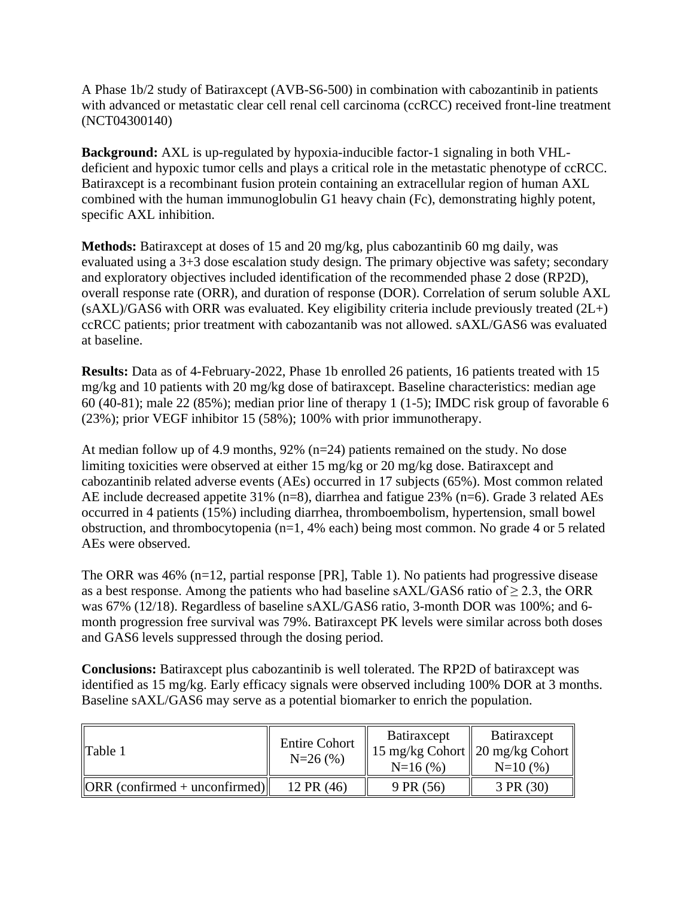A Phase 1b/2 study of Batiraxcept (AVB-S6-500) in combination with cabozantinib in patients with advanced or metastatic clear cell renal cell carcinoma (ccRCC) received front-line treatment (NCT04300140)

**Background:** AXL is up-regulated by hypoxia-inducible factor-1 signaling in both VHLdeficient and hypoxic tumor cells and plays a critical role in the metastatic phenotype of ccRCC. Batiraxcept is a recombinant fusion protein containing an extracellular region of human AXL combined with the human immunoglobulin G1 heavy chain (Fc), demonstrating highly potent, specific AXL inhibition.

**Methods:** Batiraxcept at doses of 15 and 20 mg/kg, plus cabozantinib 60 mg daily, was evaluated using a 3+3 dose escalation study design. The primary objective was safety; secondary and exploratory objectives included identification of the recommended phase 2 dose (RP2D), overall response rate (ORR), and duration of response (DOR). Correlation of serum soluble AXL  $(sAXL)/GAS6$  with ORR was evaluated. Key eligibility criteria include previously treated  $(2L+)$ ccRCC patients; prior treatment with cabozantanib was not allowed. sAXL/GAS6 was evaluated at baseline.

**Results:** Data as of 4-February-2022, Phase 1b enrolled 26 patients, 16 patients treated with 15 mg/kg and 10 patients with 20 mg/kg dose of batiraxcept. Baseline characteristics: median age 60 (40-81); male 22 (85%); median prior line of therapy 1 (1-5); IMDC risk group of favorable 6 (23%); prior VEGF inhibitor 15 (58%); 100% with prior immunotherapy.

At median follow up of 4.9 months, 92% (n=24) patients remained on the study. No dose limiting toxicities were observed at either 15 mg/kg or 20 mg/kg dose. Batiraxcept and cabozantinib related adverse events (AEs) occurred in 17 subjects (65%). Most common related AE include decreased appetite 31% (n=8), diarrhea and fatigue 23% (n=6). Grade 3 related AEs occurred in 4 patients (15%) including diarrhea, thromboembolism, hypertension, small bowel obstruction, and thrombocytopenia (n=1, 4% each) being most common. No grade 4 or 5 related AEs were observed.

The ORR was 46% (n=12, partial response [PR], Table 1). No patients had progressive disease as a best response. Among the patients who had baseline sAXL/GAS6 ratio of  $\geq$  2.3, the ORR was 67% (12/18). Regardless of baseline sAXL/GAS6 ratio, 3-month DOR was 100%; and 6 month progression free survival was 79%. Batiraxcept PK levels were similar across both doses and GAS6 levels suppressed through the dosing period.

**Conclusions:** Batiraxcept plus cabozantinib is well tolerated. The RP2D of batiraxcept was identified as 15 mg/kg. Early efficacy signals were observed including 100% DOR at 3 months. Baseline sAXL/GAS6 may serve as a potential biomarker to enrich the population.

| Table 1                                                       | <b>Entire Cohort</b><br>$N=26(%)$ | <b>Batiraxcept</b><br>$N=16(%)$ | Batiraxcept<br>  15 mg/kg Cohort    20 mg/kg Cohort   <br>$N=10(%)$ |
|---------------------------------------------------------------|-----------------------------------|---------------------------------|---------------------------------------------------------------------|
| $\left\Vert \text{ORR} \right\Vert$ (confirmed + unconfirmed) | 12 PR (46)                        | 9 PR (56)                       | 3 PR(30)                                                            |